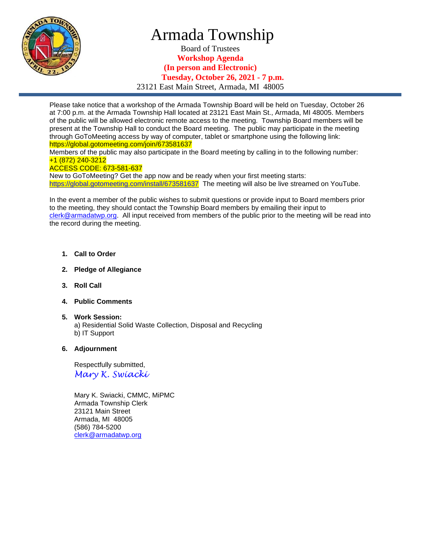

## Armada Township

Board of Trustees **Workshop Agenda (In person and Electronic) Tuesday, October 26, 2021 - 7 p.m.** 23121 East Main Street, Armada, MI 48005

Please take notice that a workshop of the Armada Township Board will be held on Tuesday, October 26 at 7:00 p.m. at the Armada Township Hall located at 23121 East Main St., Armada, MI 48005. Members of the public will be allowed electronic remote access to the meeting. Township Board members will be present at the Township Hall to conduct the Board meeting. The public may participate in the meeting through GoToMeeting access by way of computer, tablet or smartphone using the following link: https://global.gotomeeting.com/join/673581637 Members of the public may also participate in the Board meeting by calling in to the following number:

+1 (872) 240-3212 ACCESS CODE: 673-581-637

New to GoToMeeting? Get the app now and be ready when your first meeting starts: <https://global.gotomeeting.com/install/673581637>The meeting will also be live streamed on YouTube.

In the event a member of the public wishes to submit questions or provide input to Board members prior to the meeting, they should contact the Township Board members by emailing their input to [clerk@armadatwp.org.](mailto:clerk@armadatwp.org) All input received from members of the public prior to the meeting will be read into the record during the meeting.

- **1. Call to Order**
- **2. Pledge of Allegiance**
- **3. Roll Call**
- **4. Public Comments**
- **5. Work Session:**  a) Residential Solid Waste Collection, Disposal and Recycling b) IT Support

## **6. Adjournment**

 Respectfully submitted, *Mary K. Swiacki*

 Mary K. Swiacki, CMMC, MiPMC Armada Township Clerk 23121 Main Street Armada, MI 48005 (586) 784-5200 [clerk@armadatwp.org](mailto:clerk@armadatwp.org)